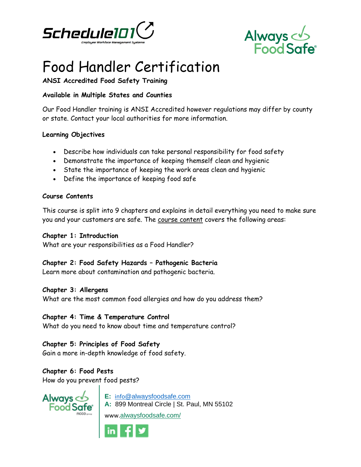



# Food Handler Certification

## **ANSI Accredited Food Safety Training**

### **Available in Multiple States and Counties**

Our Food Handler training is ANSI Accredited however regulations may differ by county or state. Contact your local authorities for more information.

#### **Learning Objectives**

- Describe how individuals can take personal responsibility for food safety
- Demonstrate the importance of keeping themself clean and hygienic
- State the importance of keeping the work areas clean and hygienic
- Define the importance of keeping food safe

#### **Course Contents**

This course is split into 9 chapters and explains in detail everything you need to make sure you and your customers are safe. The [course content](https://alwaysfoodsafe.com/food-handler-course-contents) covers the following areas:

#### **Chapter 1: Introduction**

What are your responsibilities as a Food Handler?

#### **Chapter 2: Food Safety Hazards – Pathogenic Bacteria**

Learn more about contamination and pathogenic bacteria.

#### **Chapter 3: Allergens**

What are the most common food allergies and how do you address them?

#### **Chapter 4: Time & Temperature Control**

What do you need to know about time and temperature control?

#### **Chapter 5: Principles of Food Safety**

Gain a more in-depth knowledge of food safety.

# **Chapter 6: Food Pests**

How do you prevent food pests?